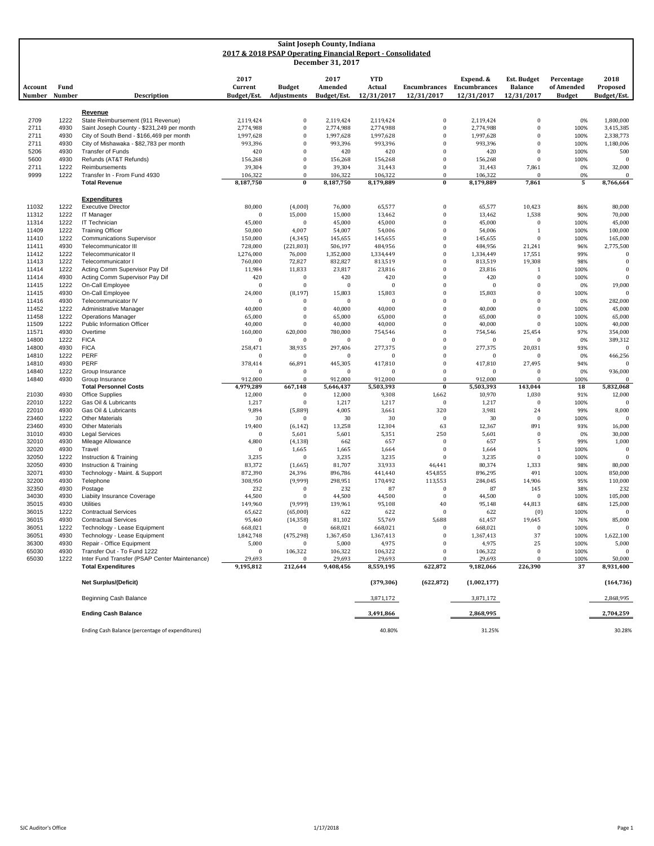| Saint Joseph County, Indiana |                |                                                              |                         |                                                            |                         |                      |                                   |                                   |                              |                             |                         |
|------------------------------|----------------|--------------------------------------------------------------|-------------------------|------------------------------------------------------------|-------------------------|----------------------|-----------------------------------|-----------------------------------|------------------------------|-----------------------------|-------------------------|
|                              |                |                                                              |                         | 2017 & 2018 PSAP Operating Financial Report - Consolidated |                         |                      |                                   |                                   |                              |                             |                         |
|                              |                |                                                              |                         |                                                            | December 31, 2017       |                      |                                   |                                   |                              |                             |                         |
|                              |                |                                                              |                         |                                                            |                         |                      |                                   |                                   |                              |                             |                         |
|                              |                |                                                              | 2017                    |                                                            | 2017                    | <b>YTD</b>           |                                   | Expend. &                         | Est. Budget                  | Percentage                  | 2018                    |
| Account<br>Number            | Fund<br>Number | Description                                                  | Current<br>Budget/Est.  | <b>Budget</b><br>Adjustments                               | Amended<br>Budget/Est.  | Actual<br>12/31/2017 | <b>Encumbrances</b><br>12/31/2017 | <b>Encumbrances</b><br>12/31/2017 | <b>Balance</b><br>12/31/2017 | of Amended<br><b>Budget</b> | Proposed<br>Budget/Est. |
|                              |                |                                                              |                         |                                                            |                         |                      |                                   |                                   |                              |                             |                         |
|                              |                | Revenue                                                      |                         |                                                            |                         |                      |                                   |                                   |                              |                             |                         |
| 2709                         | 1222           | State Reimbursement (911 Revenue)                            | 2,119,424               | $\boldsymbol{0}$                                           | 2,119,424               | 2,119,424            | $\bf{0}$                          | 2,119,424                         | $\bf{0}$                     | 0%                          | 1,800,000               |
| 2711                         | 4930           | Saint Joseph County - \$231,249 per month                    | 2,774,988               | $\boldsymbol{0}$                                           | 2,774,988               | 2,774,988            | $\bf{0}$                          | 2,774,988                         | $\Omega$                     | 100%                        | 3,415,385               |
| 2711                         | 4930           | City of South Bend - \$166,469 per month                     | 1,997,628               | $\boldsymbol{0}$                                           | 1,997,628               | 1,997,628            | $\bf{0}$                          | 1,997,628                         | $\Omega$                     | 100%                        | 2,338,773               |
| 2711                         | 4930           | City of Mishawaka - \$82,783 per month                       | 993,396                 | $\boldsymbol{0}$                                           | 993,396                 | 993,396              | $\mathbf{0}$                      | 993,396                           | $\Omega$                     | 100%                        | 1,180,006               |
| 5206<br>5600                 | 4930<br>4930   | <b>Transfer of Funds</b><br>Refunds (AT&T Refunds)           | 420                     | $\boldsymbol{0}$<br>$\bf{0}$                               | 420                     | 420                  | $\bf{0}$<br>$\bf{0}$              | 420                               | $\Omega$<br>$\mathbf{0}$     | 100%                        | 500<br>$\bf{0}$         |
| 2711                         | 1222           | Reimbursements                                               | 156,268<br>39,304       | $\boldsymbol{0}$                                           | 156,268<br>39,304       | 156,268<br>31,443    | $\bf{0}$                          | 156,268<br>31,443                 | 7,861                        | 100%<br>0%                  | 32,000                  |
| 9999                         | 1222           | Transfer In - From Fund 4930                                 | 106,322                 | $\boldsymbol{0}$                                           | 106,322                 | 106,322              | $\bf{0}$                          | 106,322                           | $\Omega$                     | 0%                          | $\bf{0}$                |
|                              |                | <b>Total Revenue</b>                                         | 8,187,750               | $\bf{0}$                                                   | 8,187,750               | 8,179,889            | $\bf{0}$                          | 8,179,889                         | 7,861                        | 5                           | 8,766,664               |
|                              |                |                                                              |                         |                                                            |                         |                      |                                   |                                   |                              |                             |                         |
|                              |                | <b>Expenditures</b>                                          |                         |                                                            |                         |                      |                                   |                                   |                              |                             |                         |
| 11032                        | 1222           | <b>Executive Director</b>                                    | 80,000                  | (4,000)                                                    | 76,000                  | 65,577               | $\bf{0}$                          | 65,577                            | 10,423                       | 86%                         | 80,000                  |
| 11312<br>11314               | 1222<br>1222   | IT Manager<br>IT Technician                                  | $\bf{0}$<br>45,000      | 15,000<br>$\boldsymbol{0}$                                 | 15,000<br>45,000        | 13,462<br>45,000     | $\bf{0}$<br>$\bf{0}$              | 13,462<br>45,000                  | 1,538<br>$\bf{0}$            | 90%<br>100%                 | 70,000<br>45,000        |
| 11409                        | 1222           | <b>Training Officer</b>                                      | 50,000                  | 4,007                                                      | 54,007                  | 54,006               | $\bf{0}$                          | 54,006                            | $\mathbf{1}$                 | 100%                        | 100,000                 |
| 11410                        | 1222           | <b>Communications Supervisor</b>                             | 150,000                 | (4, 345)                                                   | 145,655                 | 145,655              | $\bf{0}$                          | 145,655                           | $\Omega$                     | 100%                        | 165,000                 |
| 11411                        | 4930           | Telecommunicator III                                         | 728,000                 | (221, 803)                                                 | 506,197                 | 484,956              | $\bf{0}$                          | 484,956                           | 21,241                       | 96%                         | 2,775,500               |
| 11412                        | 1222           | Telecommunicator II                                          | 1,276,000               | 76,000                                                     | 1,352,000               | 1,334,449            | $\bf{0}$                          | 1,334,449                         | 17,551                       | 99%                         | $\Omega$                |
| 11413                        | 1222           | Telecommunicator I                                           | 760,000                 | 72,827                                                     | 832,827                 | 813,519              | $\bf{0}$                          | 813,519                           | 19,308                       | 98%                         | $\boldsymbol{0}$        |
| 11414                        | 1222           | Acting Comm Supervisor Pay Dif                               | 11,984                  | 11,833                                                     | 23,817                  | 23,816               | $\bf{0}$                          | 23,816                            | 1                            | 100%                        | $\mathbf{0}$            |
| 11414<br>11415               | 4930<br>1222   | Acting Comm Supervisor Pay Dif<br>On-Call Employee           | 420<br>$\mathbf{0}$     | $\boldsymbol{0}$<br>$\theta$                               | 420<br>$\boldsymbol{0}$ | 420<br>$\mathbf{0}$  | $\bf{0}$<br>$\mathbf{0}$          | 420<br>$\Omega$                   | $\mathbf{0}$<br>$\Omega$     | 100%                        | $\mathbf{0}$<br>19,000  |
| 11415                        | 4930           | On-Call Employee                                             | 24,000                  | (8, 197)                                                   | 15,803                  | 15,803               | $\bf{0}$                          | 15,803                            | $\mathbf{0}$                 | 0%<br>100%                  | $\mathbf{0}$            |
| 11416                        | 4930           | Telecommunicator IV                                          | $\bf{0}$                | $\Omega$                                                   | $\mathbf{0}$            | $\bf{0}$             | $\bf{0}$                          | $\overline{0}$                    | $\Omega$                     | 0%                          | 282,000                 |
| 11452                        | 1222           | Administrative Manager                                       | 40,000                  | $\boldsymbol{0}$                                           | 40,000                  | 40,000               | $\bf{0}$                          | 40,000                            | $\Omega$                     | 100%                        | 45,000                  |
| 11458                        | 1222           | <b>Operations Manager</b>                                    | 65,000                  | $\boldsymbol{0}$                                           | 65,000                  | 65,000               | $\bf{0}$                          | 65,000                            | $\Omega$                     | 100%                        | 65,000                  |
| 11509                        | 1222           | <b>Public Information Officer</b>                            | 40,000                  | $\boldsymbol{0}$                                           | 40,000                  | 40,000               | $\bf{0}$                          | 40,000                            | $\mathbf{0}$                 | 100%                        | 40,000                  |
| 11571                        | 4930           | Overtime                                                     | 160,000                 | 620,000                                                    | 780,000                 | 754,546              | $\bf{0}$                          | 754,546                           | 25,454                       | 97%                         | 354,000                 |
| 14800                        | 1222           | <b>FICA</b><br><b>FICA</b>                                   | $\bf{0}$                | $\Omega$                                                   | $\bf{0}$                | $\mathbf 0$          | $\bf{0}$<br>$\bf{0}$              | $\bf{0}$                          | $\mathbf{0}$                 | 0%                          | 389,312<br>$\Omega$     |
| 14800<br>14810               | 4930<br>1222   | PERF                                                         | 258,471<br>$\mathbf{0}$ | 38,935<br>$\boldsymbol{0}$                                 | 297,406<br>$\bf{0}$     | 277,375<br>$\theta$  | $\bf{0}$                          | 277,375<br>$\overline{0}$         | 20,031<br>$\Omega$           | 93%<br>0%                   | 466,256                 |
| 14810                        | 4930           | PERF                                                         | 378,414                 | 66,891                                                     | 445,305                 | 417,810              | $\bf{0}$                          | 417,810                           | 27,495                       | 94%                         | $\Omega$                |
| 14840                        | 1222           | Group Insurance                                              | $\Omega$                | $\boldsymbol{0}$                                           | $\mathbf{0}$            | $\theta$             | $\bf{0}$                          | $\overline{0}$                    | $\Omega$                     | 0%                          | 936,000                 |
| 14840                        | 4930           | Group Insurance                                              | 912,000                 | $\Omega$                                                   | 912,000                 | 912,000              | $\bf{0}$                          | 912,000                           | $\Omega$                     | 100%                        | $\bf{0}$                |
|                              |                | <b>Total Personnel Costs</b>                                 | 4,979,289               | 667,148                                                    | 5,646,437               | 5,503,393            | $\boldsymbol{0}$                  | 5,503,393                         | 143,044                      | 18                          | 5,832,068               |
| 21030                        | 4930           | <b>Office Supplies</b>                                       | 12,000                  | $\boldsymbol{0}$                                           | 12,000                  | 9,308                | 1,662                             | 10,970                            | 1,030                        | 91%                         | 12,000                  |
| 22010<br>22010               | 1222<br>4930   | Gas Oil & Lubricants<br>Gas Oil & Lubricants                 | 1,217<br>9,894          | $\boldsymbol{0}$<br>(5,889)                                | 1,217<br>4,005          | 1,217<br>3,661       | $\bf{0}$<br>320                   | 1,217<br>3,981                    | $\mathbf{0}$<br>24           | 100%<br>99%                 | $\mathbf{0}$<br>8,000   |
| 23460                        | 1222           | <b>Other Materials</b>                                       | 30                      | $\Omega$                                                   | 30                      | 30                   | $\bf{0}$                          | 30                                | $\mathbf{0}$                 | 100%                        | $\Omega$                |
| 23460                        | 4930           | <b>Other Materials</b>                                       | 19,400                  | (6, 142)                                                   | 13,258                  | 12,304               | 63                                | 12,367                            | 891                          | 93%                         | 16,000                  |
| 31010                        | 4930           | <b>Legal Services</b>                                        | $\mathbf{0}$            | 5,601                                                      | 5,601                   | 5,351                | 250                               | 5,601                             | $\mathbf{0}$                 | 0%                          | 30,000                  |
| 32010                        | 4930           | Mileage Allowance                                            | 4,800                   | (4, 138)                                                   | 662                     | 657                  | $\bf{0}$                          | 657                               | 5                            | 99%                         | 1,000                   |
| 32020                        | 4930           | Travel                                                       | $\Omega$                | 1,665                                                      | 1,665                   | 1,664                | $\bf{0}$                          | 1,664                             | $\mathbf{1}$                 | 100%                        | $\mathbf{0}$            |
| 32050                        | 1222           | Instruction & Training                                       | 3,235                   | $\boldsymbol{0}$                                           | 3,235                   | 3,235                | $\mathbf{0}$                      | 3,235                             | $\mathbf{0}$                 | 100%                        | $\bf{0}$                |
| 32050<br>32071               | 4930<br>4930   | Instruction & Training<br>Technology - Maint. & Support      | 83,372<br>872,390       | (1,665)<br>24,396                                          | 81,707<br>896,786       | 33,933<br>441,440    | 46,441<br>454,855                 | 80,374<br>896,295                 | 1,333<br>491                 | 98%<br>100%                 | 80,000<br>850,000       |
| 32200                        | 4930           | Telephone                                                    | 308,950                 | (9,999)                                                    | 298,951                 | 170,492              | 113,553                           | 284,045                           | 14,906                       | 95%                         | 110,000                 |
| 32350                        | 4930           | Postage                                                      | 232                     | $\Omega$                                                   | 232                     | 87                   | $\bf{0}$                          | 87                                | 145                          | 38%                         | 232                     |
| 34030                        | 4930           | Liabiity Insurance Coverage                                  | 44,500                  | $\Omega$                                                   | 44,500                  | 44,500               | $\mathbf{0}$                      | 44,500                            | $\Omega$                     | 100%                        | 105,000                 |
| 35015                        | 4930           | Utilities                                                    | 149,960                 | (9,999)                                                    | 139,961                 | 95,108               | 40                                | 95,148                            | 44,813                       | 68%                         | 125,000                 |
| 36015                        | 1222           | <b>Contractual Services</b>                                  | 65,622                  | (65,000)                                                   | 622                     | 622                  | $\bf{0}$                          | 622                               | (0)                          | 100%                        | $\mathbf{0}$            |
| 36015                        | 4930           | <b>Contractual Services</b>                                  | 95,460                  | (14, 358)                                                  | 81,102                  | 55,769               | 5,688                             | 61,457                            | 19,645                       | 76%                         | 85,000                  |
| 36051<br>36051               | 1222<br>4930   | Technology - Lease Equipment<br>Technology - Lease Equipment | 668,021<br>1,842,748    | $\bf{0}$<br>(475, 298)                                     | 668,021<br>1,367,450    | 668,021<br>1,367,413 | $\bf{0}$<br>$\bf{0}$              | 668,021<br>1,367,413              | $\mathbf{0}$<br>37           | 100%<br>100%                | 1,622,100               |
| 36300                        | 4930           | Repair - Office Equipment                                    | 5,000                   | $\bf{0}$                                                   | 5,000                   | 4,975                | $\mathbf{0}$                      | 4,975                             | 25                           | 100%                        | 5,000                   |
| 65030                        | 4930           | Transfer Out - To Fund 1222                                  | $\bf{0}$                | 106,322                                                    | 106,322                 | 106,322              | $\bf{0}$                          | 106,322                           | $\bf{0}$                     | 100%                        | $\Omega$                |
| 65030                        | 1222           | Inter Fund Transfer (PSAP Center Maintenance)                | 29,693                  |                                                            | 29,693                  | 29,693               |                                   | 29,693                            | $\Omega$                     | 100%                        | 50,000                  |
|                              |                | <b>Total Expenditures</b>                                    | 9,195,812               | 212,644                                                    | 9,408,456               | 8,559,195            | 622,872                           | 9,182,066                         | 226,390                      | 37                          | 8,931,400               |
|                              |                |                                                              |                         |                                                            |                         |                      |                                   |                                   |                              |                             |                         |
|                              |                | <b>Net Surplus/(Deficit)</b>                                 |                         |                                                            |                         | (379, 306)           | (622, 872)                        | (1,002,177)                       |                              |                             | (164, 736)              |
|                              |                | Beginning Cash Balance                                       |                         |                                                            |                         | 3,871,172            |                                   | 3,871,172                         |                              |                             | 2,868,995               |
|                              |                | <b>Ending Cash Balance</b>                                   |                         |                                                            |                         | 3,491,866            |                                   | 2,868,995                         |                              |                             | 2,704,259               |
|                              |                | Ending Cash Balance (percentage of expenditures)             |                         |                                                            |                         | 40.80%               |                                   | 31.25%                            |                              |                             | 30.28%                  |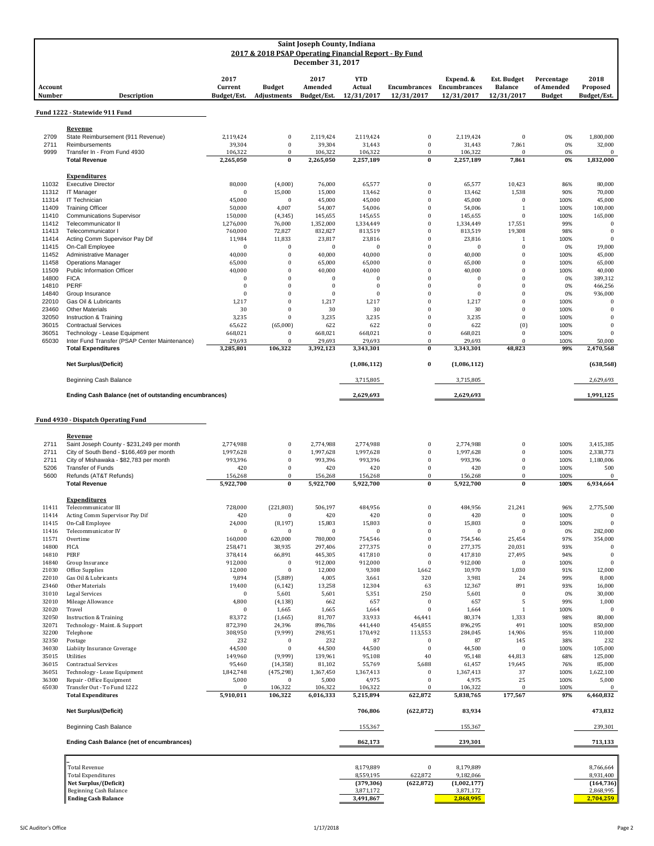| Saint Joseph County, Indiana<br>2017 & 2018 PSAP Operating Financial Report - By Fund<br>December 31, 2017 |                                                                                                                        |                                             |                                                              |                                                     |                                                |                                                      |                                                |                                                    |                                           |                                                    |
|------------------------------------------------------------------------------------------------------------|------------------------------------------------------------------------------------------------------------------------|---------------------------------------------|--------------------------------------------------------------|-----------------------------------------------------|------------------------------------------------|------------------------------------------------------|------------------------------------------------|----------------------------------------------------|-------------------------------------------|----------------------------------------------------|
| Account<br>Number                                                                                          | <b>Description</b>                                                                                                     | 2017<br>Current<br>Budget/Est.              | <b>Budget</b><br><b>Adjustments</b>                          | 2017<br>Amended<br>Budget/Est.                      | <b>YTD</b><br>Actual<br>12/31/2017             | <b>Encumbrances</b><br>12/31/2017                    | Expend. &<br><b>Encumbrances</b><br>12/31/2017 | <b>Est. Budget</b><br><b>Balance</b><br>12/31/2017 | Percentage<br>of Amended<br><b>Budget</b> | 2018<br>Proposed<br>Budget/Est.                    |
|                                                                                                            | Fund 1222 - Statewide 911 Fund                                                                                         |                                             |                                                              |                                                     |                                                |                                                      |                                                |                                                    |                                           |                                                    |
| 2709<br>2711<br>9999                                                                                       | Revenue<br>State Reimbursement (911 Revenue)<br>Reimbursements<br>Transfer In - From Fund 4930<br><b>Total Revenue</b> | 2,119,424<br>39,304<br>106,322<br>2,265,050 | $\boldsymbol{0}$<br>$\mathbf{0}$<br>$\mathbf{0}$<br>$\bf{0}$ | 2,119,424<br>39,304<br>106,322<br>2,265,050         | 2,119,424<br>31,443<br>106,322<br>2,257,189    | $\bf{0}$<br>$\bf{0}$<br>$\Omega$<br>$\bf{0}$         | 2,119,424<br>31,443<br>106,322<br>2,257,189    | $\Omega$<br>7,861<br>$\Omega$<br>7,861             | 0%<br>0%<br>0%<br>0%                      | 1,800,000<br>32,000<br>$\mathbf{0}$<br>1,832,000   |
| 11032<br>11312<br>11314                                                                                    | <b>Expenditures</b><br><b>Executive Director</b><br><b>IT Manager</b><br>IT Technician                                 | 80,000<br>$\mathbf{0}$<br>45,000            | (4,000)<br>15.000<br>$\theta$                                | 76,000<br>15,000<br>45,000                          | 65,577<br>13,462<br>45,000                     | $\bf{0}$<br>$\bf{0}$<br>$\theta$                     | 65,577<br>13,462<br>45,000                     | 10,423<br>1,538<br>$\bf{0}$                        | 86%<br>90%<br>100%                        | 80,000<br>70,000<br>45,000                         |
| 11409<br>11410<br>11412<br>11413                                                                           | <b>Training Officer</b><br><b>Communications Supervisor</b><br>Telecommunicator II<br>Telecommunicator I               | 50,000<br>150,000<br>1,276,000<br>760,000   | 4,007<br>(4, 345)<br>76,000<br>72,827                        | 54,007<br>145,655<br>1,352,000<br>832,827           | 54,006<br>145,655<br>1,334,449<br>813,519      | $\Omega$<br>$\Omega$<br>$\Omega$<br>$\Omega$         | 54,006<br>145,655<br>1,334,449<br>813,519      | 1<br>$\theta$<br>17,551<br>19,308                  | 100%<br>100%<br>99%<br>98%                | 100,000<br>165,000<br>$\mathbf{0}$<br>$\mathbf{0}$ |
| 11414<br>11415<br>11452<br>11458                                                                           | Acting Comm Supervisor Pay Dif<br>On-Call Employee<br>Administrative Manager<br><b>Operations Manager</b>              | 11,984<br>$\mathbf{0}$<br>40,000<br>65,000  | 11,833<br>$\theta$<br>$\theta$<br>$\Omega$                   | 23,817<br>$\mathbf{0}$<br>40,000<br>65,000          | 23,816<br>$\mathbf{0}$<br>40,000<br>65,000     | $\mathbf{0}$<br>$\bf{0}$<br>$\bf{0}$<br>$\Omega$     | 23,816<br>$\theta$<br>40,000<br>65,000         | $\mathbf{1}$<br>$\theta$<br>$\theta$<br>$\theta$   | 100%<br>0%<br>100%<br>100%                | $\Omega$<br>19,000<br>45,000<br>65,000             |
| 11509<br>14800<br>14810<br>14840                                                                           | Public Information Officer<br><b>FICA</b><br>PERF<br>Group Insurance                                                   | 40,000<br>$\theta$<br>$\theta$<br>$\theta$  | $\Omega$<br>$\theta$<br>$\Omega$<br>$\Omega$                 | 40,000<br>$\pmb{0}$<br>$\mathbf{0}$<br>$\mathbf{0}$ | 40,000<br>$\theta$<br>$\theta$<br>$\mathbf{0}$ | $\mathbf{0}$<br>$\theta$<br>$\Omega$<br>$\mathbf{0}$ | 40,000<br>$\Omega$<br>$\Omega$<br>$\mathbf{0}$ | $\Omega$<br>$\Omega$<br>$\Omega$<br>$\theta$       | 100%<br>0%<br>0%<br>0%                    | 40,000<br>389,312<br>466,256<br>936,000            |
| 22010<br>23460<br>32050<br>36015                                                                           | Gas Oil & Lubricants<br><b>Other Materials</b><br>Instruction & Training<br><b>Contractual Services</b>                | 1,217<br>30<br>3,235<br>65,622              | $\theta$<br>$\theta$<br>$\bf{0}$<br>(65,000)                 | 1,217<br>30<br>3,235<br>622                         | 1,217<br>30<br>3,235<br>622                    | $\bf{0}$<br>$\theta$<br>$\mathbf{0}$<br>$\mathbf{0}$ | 1,217<br>30<br>3,235<br>622                    | $\theta$<br>$\theta$<br>$\theta$<br>(0)            | 100%<br>100%<br>100%<br>100%              | $\mathbf{0}$<br>$\theta$<br>$\Omega$<br>$\theta$   |
| 36051<br>65030                                                                                             | Technology - Lease Equipment<br>Inter Fund Transfer (PSAP Center Maintenance)<br><b>Total Expenditures</b>             | 668,021<br>29,693<br>3,285,801              | $\bf{0}$<br>$\Omega$<br>106.322                              | 668,021<br>29,693<br>3,392,123                      | 668,021<br>29,693<br>3,343,301                 | $\theta$<br>$\Omega$<br>$\bf{0}$                     | 668,021<br>29,693<br>3,343,301                 | $\theta$<br>$\Omega$<br>48,823                     | 100%<br>100%<br>99%                       | $\Omega$<br>50,000<br>2,470,568                    |
|                                                                                                            | <b>Net Surplus/(Deficit)</b>                                                                                           |                                             |                                                              |                                                     | (1,086,112)                                    | $\bf{0}$                                             | (1,086,112)                                    |                                                    |                                           | (638, 568)                                         |
|                                                                                                            | Beginning Cash Balance                                                                                                 |                                             |                                                              |                                                     | 3,715,805                                      |                                                      | 3,715,805                                      |                                                    |                                           | 2,629,693                                          |
|                                                                                                            | Ending Cash Balance (net of outstanding encumbrances)                                                                  |                                             |                                                              |                                                     | 2,629,693                                      |                                                      | 2,629,693                                      |                                                    |                                           | 1,991,125                                          |

## **Fund 4930 - Dispatch Operating Fund**

| Saint Joseph County - \$231,249 per month<br>2.774.988<br>2711<br>2,774,988<br>$\boldsymbol{0}$<br>2,774,988<br>$\mathbf{0}$<br>2,774,988<br>0<br>100%<br>City of South Bend - \$166,469 per month<br>2711<br>1,997,628<br>$\mathbf{0}$<br>1,997,628<br>1,997,628<br>$\mathbf{0}$<br>1,997,628<br>$\mathbf{0}$<br>100%<br>993,396<br>2711<br>City of Mishawaka - \$82,783 per month<br>993,396<br>$\mathbf{0}$<br>993,396<br>$\mathbf{0}$<br>993,396<br>$\bf{0}$<br>100%<br>$\mathbf{0}$<br><b>Transfer of Funds</b><br>420<br>420<br>420<br>$\bf{0}$<br>420<br>$\bf{0}$<br>5206<br>100%<br>5600<br>Refunds (AT&T Refunds)<br>156,268<br>$\mathbf{0}$<br>156,268<br>156,268<br>$\bf{0}$<br>156,268<br>$\Omega$<br>100%<br>5,922,700<br><b>Total Revenue</b><br>5,922,700<br>$\bf{0}$<br>5,922,700<br>5,922,700<br>$\bf{0}$<br>$\bf{0}$<br>100%<br><b>Expenditures</b><br>Telecommunicator III<br>728,000<br>(221, 803)<br>506,197<br>484,956<br>$\bf{0}$<br>484,956<br>21,241<br>11411<br>96%<br>Acting Comm Supervisor Pay Dif<br>420<br>420<br>420<br>$\mathbf{0}$<br>420<br>$\bf{0}$<br>100%<br>11414<br>$\bf{0}$<br>On-Call Employee<br>15,803<br>24,000<br>(8, 197)<br>15,803<br>15,803<br>$\mathbf{0}$<br>$\bf{0}$<br>100%<br>11415<br>Telecommunicator IV<br>$\Omega$<br>$\Omega$<br>$\Omega$<br>0%<br>11416<br>$\Omega$<br>$\Omega$<br>$\theta$<br>$\Omega$<br>11571<br>Overtime<br>160,000<br>620,000<br>780,000<br>754,546<br>754,546<br>25,454<br>97%<br>$\theta$<br>14800<br><b>FICA</b><br>258,471<br>38,935<br>297,406<br>277,375<br>$\Omega$<br>277,375<br>20,031<br>93%<br>PERF<br>378,414<br>66,891<br>445,305<br>417,810<br>$\theta$<br>417,810<br>27,495<br>94%<br>14810 |                  |
|---------------------------------------------------------------------------------------------------------------------------------------------------------------------------------------------------------------------------------------------------------------------------------------------------------------------------------------------------------------------------------------------------------------------------------------------------------------------------------------------------------------------------------------------------------------------------------------------------------------------------------------------------------------------------------------------------------------------------------------------------------------------------------------------------------------------------------------------------------------------------------------------------------------------------------------------------------------------------------------------------------------------------------------------------------------------------------------------------------------------------------------------------------------------------------------------------------------------------------------------------------------------------------------------------------------------------------------------------------------------------------------------------------------------------------------------------------------------------------------------------------------------------------------------------------------------------------------------------------------------------------------------------------------------------------------------|------------------|
|                                                                                                                                                                                                                                                                                                                                                                                                                                                                                                                                                                                                                                                                                                                                                                                                                                                                                                                                                                                                                                                                                                                                                                                                                                                                                                                                                                                                                                                                                                                                                                                                                                                                                             | 3,415,385        |
|                                                                                                                                                                                                                                                                                                                                                                                                                                                                                                                                                                                                                                                                                                                                                                                                                                                                                                                                                                                                                                                                                                                                                                                                                                                                                                                                                                                                                                                                                                                                                                                                                                                                                             | 2,338,773        |
|                                                                                                                                                                                                                                                                                                                                                                                                                                                                                                                                                                                                                                                                                                                                                                                                                                                                                                                                                                                                                                                                                                                                                                                                                                                                                                                                                                                                                                                                                                                                                                                                                                                                                             | 1,180,006        |
|                                                                                                                                                                                                                                                                                                                                                                                                                                                                                                                                                                                                                                                                                                                                                                                                                                                                                                                                                                                                                                                                                                                                                                                                                                                                                                                                                                                                                                                                                                                                                                                                                                                                                             | 500              |
|                                                                                                                                                                                                                                                                                                                                                                                                                                                                                                                                                                                                                                                                                                                                                                                                                                                                                                                                                                                                                                                                                                                                                                                                                                                                                                                                                                                                                                                                                                                                                                                                                                                                                             | $\boldsymbol{0}$ |
|                                                                                                                                                                                                                                                                                                                                                                                                                                                                                                                                                                                                                                                                                                                                                                                                                                                                                                                                                                                                                                                                                                                                                                                                                                                                                                                                                                                                                                                                                                                                                                                                                                                                                             | 6,934,664        |
|                                                                                                                                                                                                                                                                                                                                                                                                                                                                                                                                                                                                                                                                                                                                                                                                                                                                                                                                                                                                                                                                                                                                                                                                                                                                                                                                                                                                                                                                                                                                                                                                                                                                                             |                  |
|                                                                                                                                                                                                                                                                                                                                                                                                                                                                                                                                                                                                                                                                                                                                                                                                                                                                                                                                                                                                                                                                                                                                                                                                                                                                                                                                                                                                                                                                                                                                                                                                                                                                                             | 2,775,500        |
|                                                                                                                                                                                                                                                                                                                                                                                                                                                                                                                                                                                                                                                                                                                                                                                                                                                                                                                                                                                                                                                                                                                                                                                                                                                                                                                                                                                                                                                                                                                                                                                                                                                                                             |                  |
|                                                                                                                                                                                                                                                                                                                                                                                                                                                                                                                                                                                                                                                                                                                                                                                                                                                                                                                                                                                                                                                                                                                                                                                                                                                                                                                                                                                                                                                                                                                                                                                                                                                                                             | $\theta$         |
|                                                                                                                                                                                                                                                                                                                                                                                                                                                                                                                                                                                                                                                                                                                                                                                                                                                                                                                                                                                                                                                                                                                                                                                                                                                                                                                                                                                                                                                                                                                                                                                                                                                                                             | 282,000          |
|                                                                                                                                                                                                                                                                                                                                                                                                                                                                                                                                                                                                                                                                                                                                                                                                                                                                                                                                                                                                                                                                                                                                                                                                                                                                                                                                                                                                                                                                                                                                                                                                                                                                                             | 354,000          |
|                                                                                                                                                                                                                                                                                                                                                                                                                                                                                                                                                                                                                                                                                                                                                                                                                                                                                                                                                                                                                                                                                                                                                                                                                                                                                                                                                                                                                                                                                                                                                                                                                                                                                             | $\Omega$         |
|                                                                                                                                                                                                                                                                                                                                                                                                                                                                                                                                                                                                                                                                                                                                                                                                                                                                                                                                                                                                                                                                                                                                                                                                                                                                                                                                                                                                                                                                                                                                                                                                                                                                                             | $\Omega$         |
| 912,000<br>$\theta$<br>912,000<br>$\bf{0}$<br>912,000<br>14840<br>Group Insurance<br>912,000<br>$\bf{0}$<br>100%                                                                                                                                                                                                                                                                                                                                                                                                                                                                                                                                                                                                                                                                                                                                                                                                                                                                                                                                                                                                                                                                                                                                                                                                                                                                                                                                                                                                                                                                                                                                                                            | $\theta$         |
| 21030<br>Office Supplies<br>12,000<br>$\theta$<br>12,000<br>9,308<br>1,662<br>10,970<br>1,030<br>91%                                                                                                                                                                                                                                                                                                                                                                                                                                                                                                                                                                                                                                                                                                                                                                                                                                                                                                                                                                                                                                                                                                                                                                                                                                                                                                                                                                                                                                                                                                                                                                                        | 12,000           |
| 3,981<br>Gas Oil & Lubricants<br>9,894<br>4,005<br>3,661<br>320<br>24<br>99%<br>22010<br>(5,889)                                                                                                                                                                                                                                                                                                                                                                                                                                                                                                                                                                                                                                                                                                                                                                                                                                                                                                                                                                                                                                                                                                                                                                                                                                                                                                                                                                                                                                                                                                                                                                                            | 8,000            |
| 12,367<br>891<br>23460<br>Other Materials<br>19,400<br>(6, 142)<br>13,258<br>12,304<br>63<br>93%                                                                                                                                                                                                                                                                                                                                                                                                                                                                                                                                                                                                                                                                                                                                                                                                                                                                                                                                                                                                                                                                                                                                                                                                                                                                                                                                                                                                                                                                                                                                                                                            | 16,000           |
| Legal Services<br>$\bf{0}$<br>5,601<br>5,601<br>5,351<br>250<br>5,601<br>$\bf{0}$<br>31010<br>0%                                                                                                                                                                                                                                                                                                                                                                                                                                                                                                                                                                                                                                                                                                                                                                                                                                                                                                                                                                                                                                                                                                                                                                                                                                                                                                                                                                                                                                                                                                                                                                                            | 30,000           |
| 662<br>657<br>657<br>5<br>32010<br>Mileage Allowance<br>4,800<br>(4, 138)<br>$\mathbf{0}$<br>99%                                                                                                                                                                                                                                                                                                                                                                                                                                                                                                                                                                                                                                                                                                                                                                                                                                                                                                                                                                                                                                                                                                                                                                                                                                                                                                                                                                                                                                                                                                                                                                                            | 1,000            |
| 1,665<br>32020<br>Travel<br>$\mathbf{0}$<br>1,665<br>1,664<br>$\theta$<br>1,664<br>1<br>100%                                                                                                                                                                                                                                                                                                                                                                                                                                                                                                                                                                                                                                                                                                                                                                                                                                                                                                                                                                                                                                                                                                                                                                                                                                                                                                                                                                                                                                                                                                                                                                                                | $\Omega$         |
| 81,707<br>32050<br><b>Instruction &amp; Training</b><br>83,372<br>(1,665)<br>33,933<br>80,374<br>1,333<br>98%<br>46,441                                                                                                                                                                                                                                                                                                                                                                                                                                                                                                                                                                                                                                                                                                                                                                                                                                                                                                                                                                                                                                                                                                                                                                                                                                                                                                                                                                                                                                                                                                                                                                     | 80,000           |
| 872,390<br>24,396<br>896,786<br>454,855<br>896,295<br>491<br>32071<br>Technology - Maint. & Support<br>441,440<br>100%                                                                                                                                                                                                                                                                                                                                                                                                                                                                                                                                                                                                                                                                                                                                                                                                                                                                                                                                                                                                                                                                                                                                                                                                                                                                                                                                                                                                                                                                                                                                                                      | 850,000          |
| 32200<br>308,950<br>(9,999)<br>298,951<br>170,492<br>113,553<br>284,045<br>14,906<br>95%<br>Telephone                                                                                                                                                                                                                                                                                                                                                                                                                                                                                                                                                                                                                                                                                                                                                                                                                                                                                                                                                                                                                                                                                                                                                                                                                                                                                                                                                                                                                                                                                                                                                                                       | 110,000          |
| 87<br>32350<br>232<br>232<br>87<br>145<br>38%<br>Postage<br>$\mathbf{0}$<br>0                                                                                                                                                                                                                                                                                                                                                                                                                                                                                                                                                                                                                                                                                                                                                                                                                                                                                                                                                                                                                                                                                                                                                                                                                                                                                                                                                                                                                                                                                                                                                                                                               | 232              |
| 44,500<br>44,500<br>34030<br>Liabiity Insurance Coverage<br>$\Omega$<br>44,500<br>$\mathbf{0}$<br>44,500<br>$\bf{0}$<br>100%                                                                                                                                                                                                                                                                                                                                                                                                                                                                                                                                                                                                                                                                                                                                                                                                                                                                                                                                                                                                                                                                                                                                                                                                                                                                                                                                                                                                                                                                                                                                                                | 105,000          |
| Utilities<br>149,960<br>(9,999)<br>139,961<br>40<br>95,148<br>44,813<br>35015<br>95,108<br>68%                                                                                                                                                                                                                                                                                                                                                                                                                                                                                                                                                                                                                                                                                                                                                                                                                                                                                                                                                                                                                                                                                                                                                                                                                                                                                                                                                                                                                                                                                                                                                                                              | 125,000          |
| <b>Contractual Services</b><br>95,460<br>(14, 358)<br>81,102<br>55,769<br>5,688<br>61,457<br>19,645<br>76%<br>36015                                                                                                                                                                                                                                                                                                                                                                                                                                                                                                                                                                                                                                                                                                                                                                                                                                                                                                                                                                                                                                                                                                                                                                                                                                                                                                                                                                                                                                                                                                                                                                         | 85,000           |
| 1,842,748<br>37<br>36051<br>Technology - Lease Equipment<br>(475, 298)<br>1,367,450<br>1,367,413<br>$\mathbf{0}$<br>1,367,413<br>100%                                                                                                                                                                                                                                                                                                                                                                                                                                                                                                                                                                                                                                                                                                                                                                                                                                                                                                                                                                                                                                                                                                                                                                                                                                                                                                                                                                                                                                                                                                                                                       | 1,622,100        |
| 36300<br>Repair - Office Equipment<br>5,000<br>4,975<br>4,975<br>25<br>100%<br>$\mathbf{0}$<br>5,000<br>$\theta$                                                                                                                                                                                                                                                                                                                                                                                                                                                                                                                                                                                                                                                                                                                                                                                                                                                                                                                                                                                                                                                                                                                                                                                                                                                                                                                                                                                                                                                                                                                                                                            | 5,000            |
| Transfer Out - To Fund 1222<br>106,322<br>65030<br>$\Omega$<br>106,322<br>106,322<br>$\Omega$<br>100%<br>106,322<br>$\theta$                                                                                                                                                                                                                                                                                                                                                                                                                                                                                                                                                                                                                                                                                                                                                                                                                                                                                                                                                                                                                                                                                                                                                                                                                                                                                                                                                                                                                                                                                                                                                                | $\Omega$         |
| 5,910,011<br>622,872<br>177,567<br><b>Total Expenditures</b><br>106,322<br>6,016,333<br>5,215,894<br>5,838,765<br>97%                                                                                                                                                                                                                                                                                                                                                                                                                                                                                                                                                                                                                                                                                                                                                                                                                                                                                                                                                                                                                                                                                                                                                                                                                                                                                                                                                                                                                                                                                                                                                                       | 6,460,832        |
| <b>Net Surplus/(Deficit)</b><br>706,806<br>(622, 872)<br>83,934                                                                                                                                                                                                                                                                                                                                                                                                                                                                                                                                                                                                                                                                                                                                                                                                                                                                                                                                                                                                                                                                                                                                                                                                                                                                                                                                                                                                                                                                                                                                                                                                                             | 473,832          |
| 155,367<br>Beginning Cash Balance<br>155,367                                                                                                                                                                                                                                                                                                                                                                                                                                                                                                                                                                                                                                                                                                                                                                                                                                                                                                                                                                                                                                                                                                                                                                                                                                                                                                                                                                                                                                                                                                                                                                                                                                                | 239,301          |
|                                                                                                                                                                                                                                                                                                                                                                                                                                                                                                                                                                                                                                                                                                                                                                                                                                                                                                                                                                                                                                                                                                                                                                                                                                                                                                                                                                                                                                                                                                                                                                                                                                                                                             |                  |
| <b>Ending Cash Balance (net of encumbrances)</b><br>862,173<br>239,301                                                                                                                                                                                                                                                                                                                                                                                                                                                                                                                                                                                                                                                                                                                                                                                                                                                                                                                                                                                                                                                                                                                                                                                                                                                                                                                                                                                                                                                                                                                                                                                                                      | 713,133          |
| <b>Total Revenue</b><br>8,179,889<br>$\mathbf{0}$<br>8,179,889                                                                                                                                                                                                                                                                                                                                                                                                                                                                                                                                                                                                                                                                                                                                                                                                                                                                                                                                                                                                                                                                                                                                                                                                                                                                                                                                                                                                                                                                                                                                                                                                                              | 8,766,664        |
| 8,559,195<br><b>Total Expenditures</b><br>622,872<br>9,182,066                                                                                                                                                                                                                                                                                                                                                                                                                                                                                                                                                                                                                                                                                                                                                                                                                                                                                                                                                                                                                                                                                                                                                                                                                                                                                                                                                                                                                                                                                                                                                                                                                              | 8,931,400        |
| (379, 306)<br>(622, 872)<br>Net Surplus/(Deficit)<br>(1,002,177)                                                                                                                                                                                                                                                                                                                                                                                                                                                                                                                                                                                                                                                                                                                                                                                                                                                                                                                                                                                                                                                                                                                                                                                                                                                                                                                                                                                                                                                                                                                                                                                                                            | (164, 736)       |
| 3,871,172<br><b>Beginning Cash Balance</b><br>3,871,172                                                                                                                                                                                                                                                                                                                                                                                                                                                                                                                                                                                                                                                                                                                                                                                                                                                                                                                                                                                                                                                                                                                                                                                                                                                                                                                                                                                                                                                                                                                                                                                                                                     | 2,868,995        |
| <b>Ending Cash Balance</b><br>3,491,867<br>2,868,995<br>2,704,259                                                                                                                                                                                                                                                                                                                                                                                                                                                                                                                                                                                                                                                                                                                                                                                                                                                                                                                                                                                                                                                                                                                                                                                                                                                                                                                                                                                                                                                                                                                                                                                                                           |                  |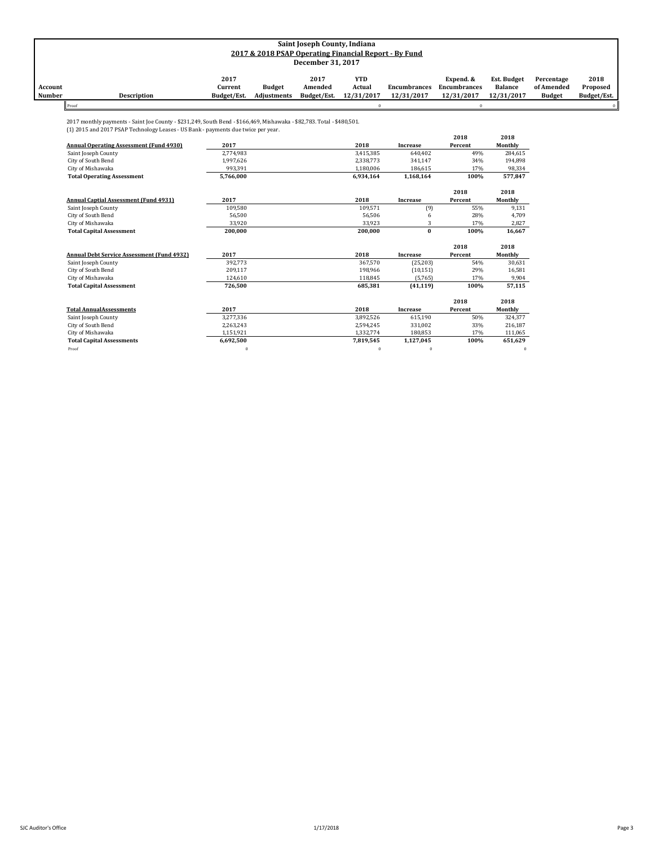|         | Saint Joseph County, Indiana                          |             |                    |                   |            |                     |              |                    |               |             |
|---------|-------------------------------------------------------|-------------|--------------------|-------------------|------------|---------------------|--------------|--------------------|---------------|-------------|
|         | 2017 & 2018 PSAP Operating Financial Report - By Fund |             |                    |                   |            |                     |              |                    |               |             |
|         |                                                       |             |                    | December 31, 2017 |            |                     |              |                    |               |             |
|         |                                                       |             |                    |                   |            |                     |              |                    |               |             |
|         |                                                       | 2017        |                    | 2017              | YTD        |                     | Expend. &    | <b>Est. Budget</b> | Percentage    | 2018        |
| Account |                                                       | Current     | <b>Budget</b>      | Amended           | Actual     | <b>Encumbrances</b> | Encumbrances | <b>Balance</b>     | of Amended    | Proposed    |
| Number  | <b>Description</b>                                    | Budget/Est. | <b>Adjustments</b> | Budget/Est.       | 12/31/2017 | 12/31/2017          | 12/31/2017   | 12/31/2017         | <b>Budget</b> | Budget/Est. |
| Proof   |                                                       |             |                    |                   |            |                     |              |                    |               |             |

2017 monthly payments - Saint Joe County - \$231,249, South Bend - \$166,469, Mishawaka - \$82,783. Total - \$480,501. (1) 2015 and 2017 PSAP Technology Leases - US Bank - payments due twice per year.

|                                                   |           |           |           | 2018    | 2018     |
|---------------------------------------------------|-----------|-----------|-----------|---------|----------|
| <b>Annual Operating Assessment (Fund 4930)</b>    | 2017      | 2018      | Increase  | Percent | Monthly  |
| Saint Joseph County                               | 2.774.983 | 3,415,385 | 640.402   | 49%     | 284,615  |
| City of South Bend                                | 1,997,626 | 2,338,773 | 341,147   | 34%     | 194,898  |
| City of Mishawaka                                 | 993,391   | 1,180,006 | 186,615   | 17%     | 98,334   |
| <b>Total Operating Assessment</b>                 | 5.766.000 | 6.934.164 | 1,168,164 | 100%    | 577,847  |
|                                                   |           |           |           | 2018    | 2018     |
| <b>Annual Captial Assessment (Fund 4931)</b>      | 2017      | 2018      | Increase  | Percent | Monthly  |
| Saint Joseph County                               | 109.580   | 109.571   | (9)       | 55%     | 9,131    |
| City of South Bend                                | 56.500    | 56,506    | 6         | 28%     | 4,709    |
| City of Mishawaka                                 | 33,920    | 33.923    | 3         | 17%     | 2,827    |
| <b>Total Capital Assessment</b>                   | 200,000   | 200,000   | $\bf{0}$  | 100%    | 16,667   |
|                                                   |           |           |           | 2018    | 2018     |
| <b>Annual Debt Service Assessment (Fund 4932)</b> | 2017      | 2018      | Increase  | Percent | Monthly  |
| Saint Joseph County                               | 392.773   | 367.570   | (25, 203) | 54%     | 30,631   |
| City of South Bend                                | 209,117   | 198,966   | (10, 151) | 29%     | 16,581   |
| City of Mishawaka                                 | 124.610   | 118.845   | (5,765)   | 17%     | 9,904    |
| <b>Total Capital Assessment</b>                   | 726,500   | 685,381   | (41, 119) | 100%    | 57,115   |
|                                                   |           |           |           | 2018    | 2018     |
| <b>Total AnnualAssessments</b>                    | 2017      | 2018      | Increase  | Percent | Monthly  |
| Saint Joseph County                               | 3,277,336 | 3,892,526 | 615,190   | 50%     | 324,377  |
| City of South Bend                                | 2,263,243 | 2.594.245 | 331,002   | 33%     | 216,187  |
| City of Mishawaka                                 | 1,151,921 | 1,332,774 | 180,853   | 17%     | 111,065  |
| <b>Total Capital Assessments</b>                  | 6,692,500 | 7,819,545 | 1,127,045 | 100%    | 651,629  |
| Proof                                             | $\Omega$  | $\theta$  | $\theta$  |         | $\bf{0}$ |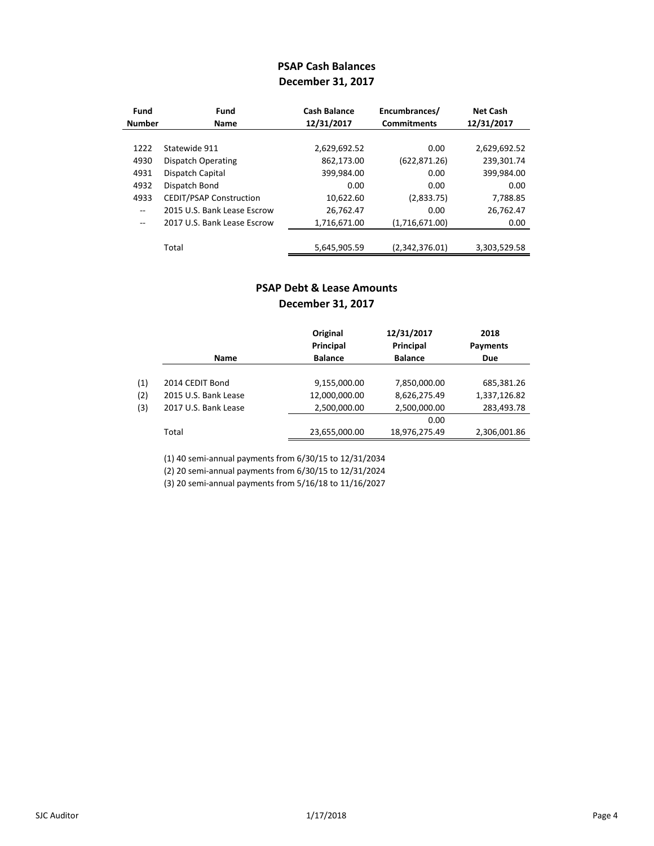## **PSAP Cash Balances December 31, 2017**

| Fund          | Fund                           | <b>Cash Balance</b> | Encumbrances/      | <b>Net Cash</b> |
|---------------|--------------------------------|---------------------|--------------------|-----------------|
| <b>Number</b> | <b>Name</b>                    | 12/31/2017          | <b>Commitments</b> | 12/31/2017      |
|               |                                |                     |                    |                 |
| 1222          | Statewide 911                  | 2,629,692.52        | 0.00               | 2,629,692.52    |
| 4930          | Dispatch Operating             | 862,173.00          | (622, 871.26)      | 239,301.74      |
| 4931          | Dispatch Capital               | 399,984.00          | 0.00               | 399,984.00      |
| 4932          | Dispatch Bond                  | 0.00                | 0.00               | 0.00            |
| 4933          | <b>CEDIT/PSAP Construction</b> | 10,622.60           | (2,833.75)         | 7,788.85        |
| $ -$          | 2015 U.S. Bank Lease Escrow    | 26,762.47           | 0.00               | 26,762.47       |
| $-$           | 2017 U.S. Bank Lease Escrow    | 1,716,671.00        | (1,716,671.00)     | 0.00            |
|               |                                |                     |                    |                 |
|               | Total                          | 5,645,905.59        | (2,342,376.01)     | 3,303,529.58    |

## **PSAP Debt & Lease Amounts December 31, 2017**

|     |                      | Original<br><b>Principal</b> | 12/31/2017<br>Principal | 2018<br>Payments |
|-----|----------------------|------------------------------|-------------------------|------------------|
|     | <b>Name</b>          | <b>Balance</b>               | <b>Balance</b>          | <b>Due</b>       |
| (1) | 2014 CEDIT Bond      | 9,155,000.00                 | 7,850,000.00            | 685,381.26       |
| (2) | 2015 U.S. Bank Lease | 12,000,000.00                | 8,626,275.49            | 1,337,126.82     |
| (3) | 2017 U.S. Bank Lease | 2,500,000.00                 | 2,500,000.00            | 283,493.78       |
|     |                      |                              | 0.00                    |                  |
|     | Total                | 23,655,000.00                | 18,976,275.49           | 2,306,001.86     |

(1) 40 semi-annual payments from 6/30/15 to 12/31/2034

(2) 20 semi-annual payments from 6/30/15 to 12/31/2024

(3) 20 semi-annual payments from 5/16/18 to 11/16/2027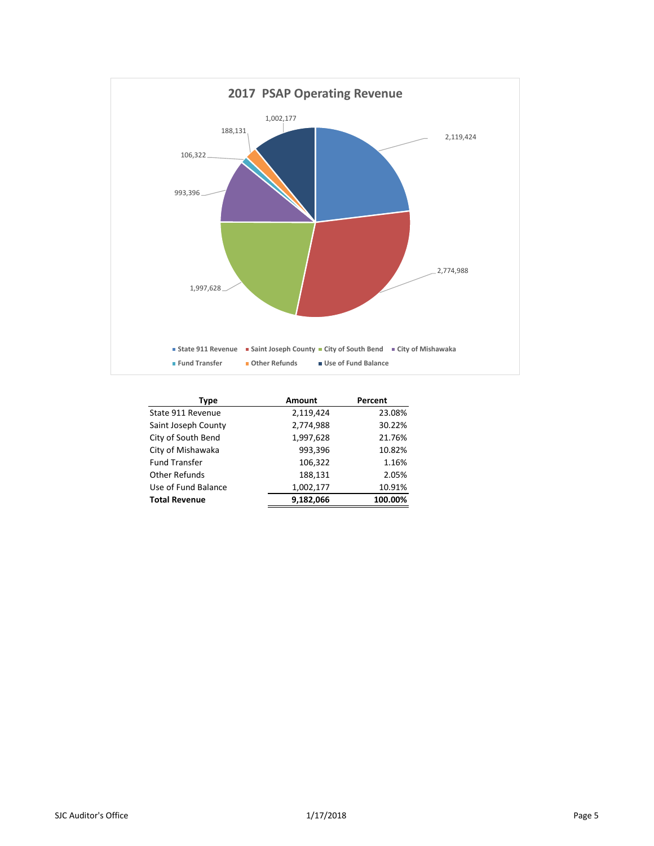

| Type                 | Amount    | Percent |
|----------------------|-----------|---------|
| State 911 Revenue    | 2,119,424 | 23.08%  |
| Saint Joseph County  | 2,774,988 | 30.22%  |
| City of South Bend   | 1,997,628 | 21.76%  |
| City of Mishawaka    | 993,396   | 10.82%  |
| <b>Fund Transfer</b> | 106,322   | 1.16%   |
| Other Refunds        | 188,131   | 2.05%   |
| Use of Fund Balance  | 1,002,177 | 10.91%  |
| <b>Total Revenue</b> | 9,182,066 | 100.00% |